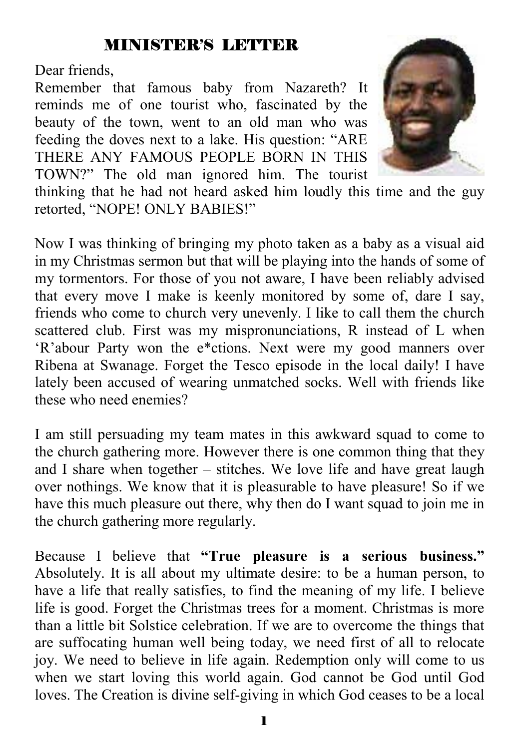## MINISTER'S LETTER

Dear friends,

Remember that famous baby from Nazareth? It reminds me of one tourist who, fascinated by the beauty of the town, went to an old man who was feeding the doves next to a lake. His question: "ARE THERE ANY FAMOUS PEOPLE BORN IN THIS TOWN?" The old man ignored him. The tourist



thinking that he had not heard asked him loudly this time and the guy retorted, "NOPE! ONLY BABIES!"

Now I was thinking of bringing my photo taken as a baby as a visual aid in my Christmas sermon but that will be playing into the hands of some of my tormentors. For those of you not aware, I have been reliably advised that every move I make is keenly monitored by some of, dare I say, friends who come to church very unevenly. I like to call them the church scattered club. First was my mispronunciations, R instead of L when 'R'abour Party won the e\*ctions. Next were my good manners over Ribena at Swanage. Forget the Tesco episode in the local daily! I have lately been accused of wearing unmatched socks. Well with friends like these who need enemies?

I am still persuading my team mates in this awkward squad to come to the church gathering more. However there is one common thing that they and I share when together – stitches. We love life and have great laugh over nothings. We know that it is pleasurable to have pleasure! So if we have this much pleasure out there, why then do I want squad to join me in the church gathering more regularly.

Because I believe that **"True pleasure is a serious business."** Absolutely. It is all about my ultimate desire: to be a human person, to have a life that really satisfies, to find the meaning of my life. I believe life is good. Forget the Christmas trees for a moment. Christmas is more than a little bit Solstice celebration. If we are to overcome the things that are suffocating human well being today, we need first of all to relocate joy. We need to believe in life again. Redemption only will come to us when we start loving this world again. God cannot be God until God loves. The Creation is divine self-giving in which God ceases to be a local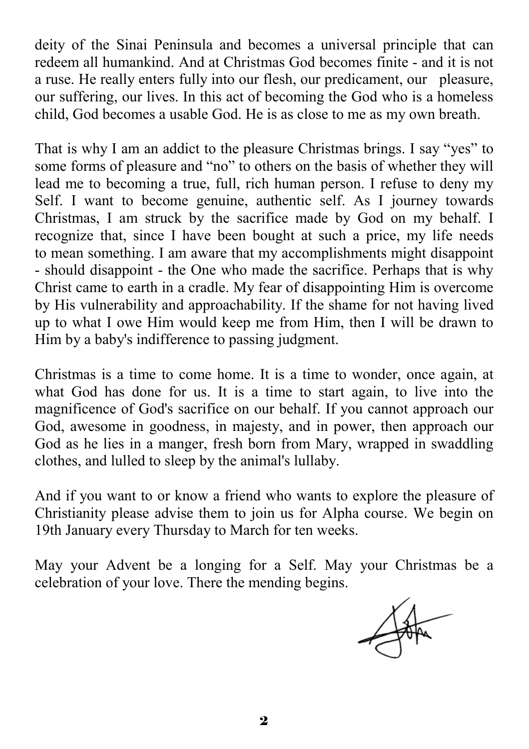deity of the Sinai Peninsula and becomes a universal principle that can redeem all humankind. And at Christmas God becomes finite - and it is not a ruse. He really enters fully into our flesh, our predicament, our pleasure, our suffering, our lives. In this act of becoming the God who is a homeless child, God becomes a usable God. He is as close to me as my own breath.

That is why I am an addict to the pleasure Christmas brings. I say "yes" to some forms of pleasure and "no" to others on the basis of whether they will lead me to becoming a true, full, rich human person. I refuse to deny my Self. I want to become genuine, authentic self. As I journey towards Christmas, I am struck by the sacrifice made by God on my behalf. I recognize that, since I have been bought at such a price, my life needs to mean something. I am aware that my accomplishments might disappoint - should disappoint - the One who made the sacrifice. Perhaps that is why Christ came to earth in a cradle. My fear of disappointing Him is overcome by His vulnerability and approachability. If the shame for not having lived up to what I owe Him would keep me from Him, then I will be drawn to Him by a baby's indifference to passing judgment.

Christmas is a time to come home. It is a time to wonder, once again, at what God has done for us. It is a time to start again, to live into the magnificence of God's sacrifice on our behalf. If you cannot approach our God, awesome in goodness, in majesty, and in power, then approach our God as he lies in a manger, fresh born from Mary, wrapped in swaddling clothes, and lulled to sleep by the animal's lullaby.

And if you want to or know a friend who wants to explore the pleasure of Christianity please advise them to join us for Alpha course. We begin on 19th January every Thursday to March for ten weeks.

May your Advent be a longing for a Self. May your Christmas be a celebration of your love. There the mending begins.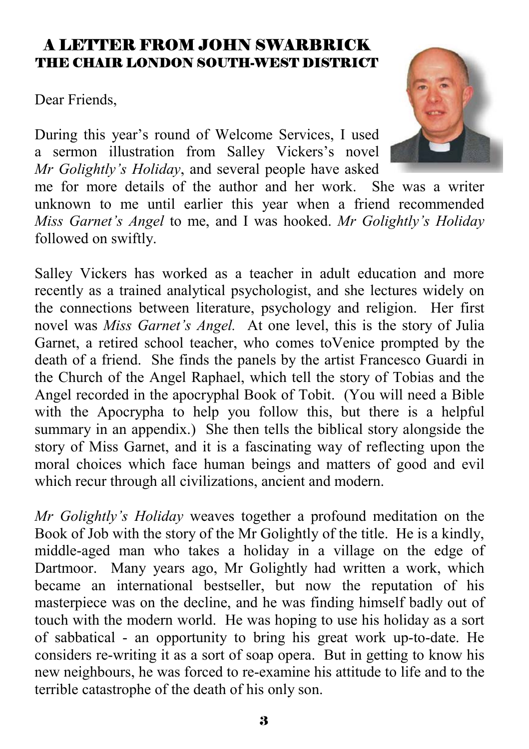#### A LETTER FROM JOHN SWARBRICK THE CHAIR LONDON SOUTH-WEST DISTRICT

Dear Friends,

During this year's round of Welcome Services, I used a sermon illustration from Salley Vickers's novel *Mr Golightly's Holiday*, and several people have asked



me for more details of the author and her work. She was a writer unknown to me until earlier this year when a friend recommended *Miss Garnet's Angel* to me, and I was hooked. *Mr Golightly's Holiday*  followed on swiftly.

Salley Vickers has worked as a teacher in adult education and more recently as a trained analytical psychologist, and she lectures widely on the connections between literature, psychology and religion. Her first novel was *Miss Garnet's Angel.* At one level, this is the story of Julia Garnet, a retired school teacher, who comes toVenice prompted by the death of a friend. She finds the panels by the artist Francesco Guardi in the Church of the Angel Raphael, which tell the story of Tobias and the Angel recorded in the apocryphal Book of Tobit. (You will need a Bible with the Apocrypha to help you follow this, but there is a helpful summary in an appendix.) She then tells the biblical story alongside the story of Miss Garnet, and it is a fascinating way of reflecting upon the moral choices which face human beings and matters of good and evil which recur through all civilizations, ancient and modern.

*Mr Golightly's Holiday* weaves together a profound meditation on the Book of Job with the story of the Mr Golightly of the title. He is a kindly, middle-aged man who takes a holiday in a village on the edge of Dartmoor. Many years ago, Mr Golightly had written a work, which became an international bestseller, but now the reputation of his masterpiece was on the decline, and he was finding himself badly out of touch with the modern world. He was hoping to use his holiday as a sort of sabbatical - an opportunity to bring his great work up-to-date. He considers re-writing it as a sort of soap opera. But in getting to know his new neighbours, he was forced to re-examine his attitude to life and to the terrible catastrophe of the death of his only son.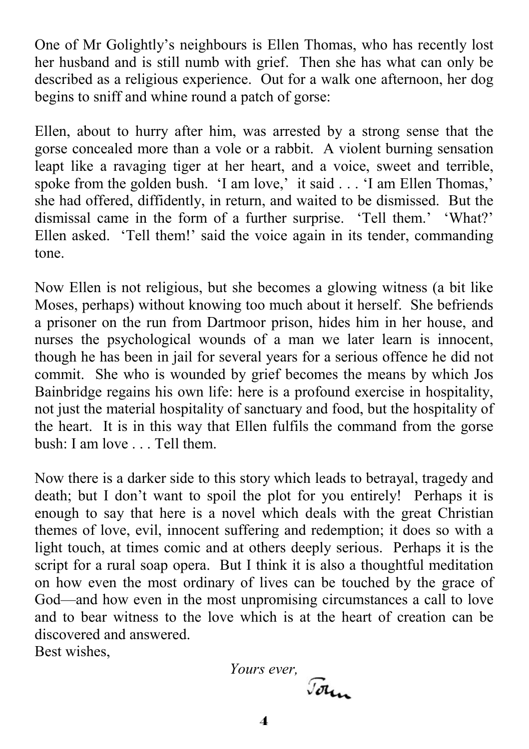One of Mr Golightly's neighbours is Ellen Thomas, who has recently lost her husband and is still numb with grief. Then she has what can only be described as a religious experience. Out for a walk one afternoon, her dog begins to sniff and whine round a patch of gorse:

Ellen, about to hurry after him, was arrested by a strong sense that the gorse concealed more than a vole or a rabbit. A violent burning sensation leapt like a ravaging tiger at her heart, and a voice, sweet and terrible, spoke from the golden bush. 'I am love,' it said . . . 'I am Ellen Thomas,' she had offered, diffidently, in return, and waited to be dismissed. But the dismissal came in the form of a further surprise. 'Tell them.' 'What?' Ellen asked. 'Tell them!' said the voice again in its tender, commanding tone.

Now Ellen is not religious, but she becomes a glowing witness (a bit like Moses, perhaps) without knowing too much about it herself. She befriends a prisoner on the run from Dartmoor prison, hides him in her house, and nurses the psychological wounds of a man we later learn is innocent, though he has been in jail for several years for a serious offence he did not commit. She who is wounded by grief becomes the means by which Jos Bainbridge regains his own life: here is a profound exercise in hospitality, not just the material hospitality of sanctuary and food, but the hospitality of the heart. It is in this way that Ellen fulfils the command from the gorse bush: I am love . . . Tell them.

Now there is a darker side to this story which leads to betrayal, tragedy and death; but I don't want to spoil the plot for you entirely! Perhaps it is enough to say that here is a novel which deals with the great Christian themes of love, evil, innocent suffering and redemption; it does so with a light touch, at times comic and at others deeply serious. Perhaps it is the script for a rural soap opera. But I think it is also a thoughtful meditation on how even the most ordinary of lives can be touched by the grace of God—and how even in the most unpromising circumstances a call to love and to bear witness to the love which is at the heart of creation can be discovered and answered. Best wishes,

> *Yours ever,* Jour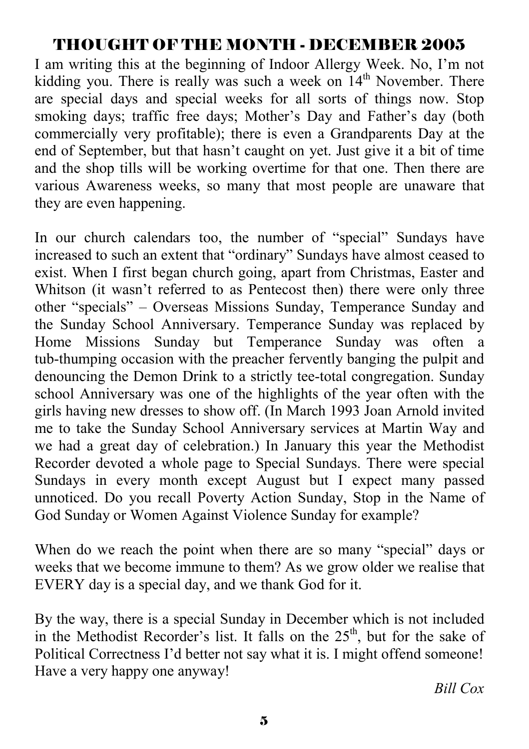## THOUGHT OF THE MONTH - DECEMBER 2005

I am writing this at the beginning of Indoor Allergy Week. No, I'm not kidding you. There is really was such a week on  $14<sup>th</sup>$  November. There are special days and special weeks for all sorts of things now. Stop smoking days; traffic free days; Mother's Day and Father's day (both commercially very profitable); there is even a Grandparents Day at the end of September, but that hasn't caught on yet. Just give it a bit of time and the shop tills will be working overtime for that one. Then there are various Awareness weeks, so many that most people are unaware that they are even happening.

In our church calendars too, the number of "special" Sundays have increased to such an extent that "ordinary" Sundays have almost ceased to exist. When I first began church going, apart from Christmas, Easter and Whitson (it wasn't referred to as Pentecost then) there were only three other "specials" – Overseas Missions Sunday, Temperance Sunday and the Sunday School Anniversary. Temperance Sunday was replaced by Home Missions Sunday but Temperance Sunday was often a tub-thumping occasion with the preacher fervently banging the pulpit and denouncing the Demon Drink to a strictly tee-total congregation. Sunday school Anniversary was one of the highlights of the year often with the girls having new dresses to show off. (In March 1993 Joan Arnold invited me to take the Sunday School Anniversary services at Martin Way and we had a great day of celebration.) In January this year the Methodist Recorder devoted a whole page to Special Sundays. There were special Sundays in every month except August but I expect many passed unnoticed. Do you recall Poverty Action Sunday, Stop in the Name of God Sunday or Women Against Violence Sunday for example?

When do we reach the point when there are so many "special" days or weeks that we become immune to them? As we grow older we realise that EVERY day is a special day, and we thank God for it.

By the way, there is a special Sunday in December which is not included in the Methodist Recorder's list. It falls on the  $25<sup>th</sup>$ , but for the sake of Political Correctness I'd better not say what it is. I might offend someone! Have a very happy one anyway!

*Bill Cox*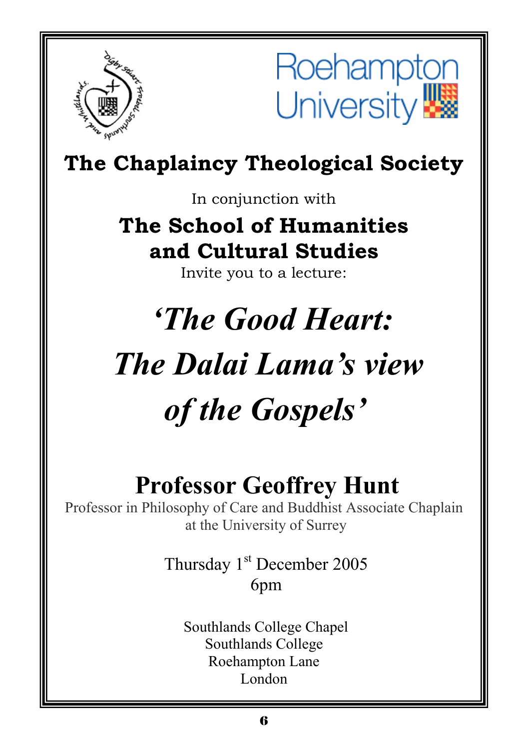



## **The Chaplaincy Theological Society**

In conjunction with

**The School of Humanities and Cultural Studies** 

Invite you to a lecture:

# *'The Good Heart: The Dalai Lama's view of the Gospels'*

## **Professor Geoffrey Hunt**

Professor in Philosophy of Care and Buddhist Associate Chaplain at the University of Surrey

> Thursday 1<sup>st</sup> December 2005 6pm

 Southlands College Chapel Southlands College Roehampton Lane London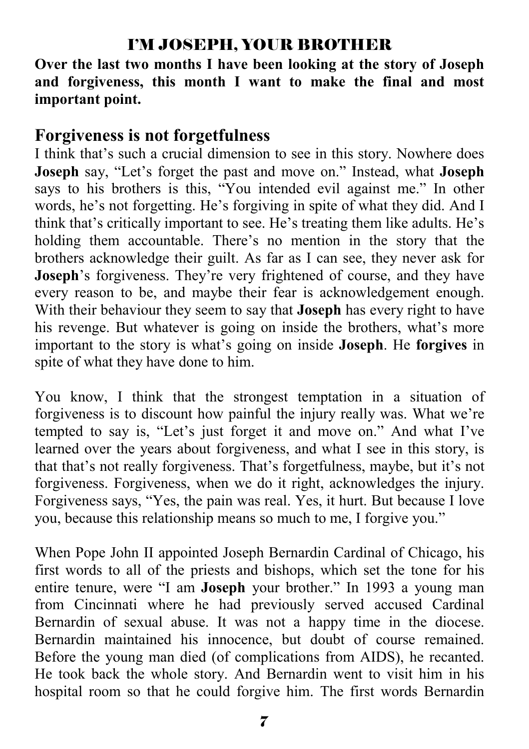## I'M JOSEPH, YOUR BROTHER

**Over the last two months I have been looking at the story of Joseph and forgiveness, this month I want to make the final and most important point.** 

## **Forgiveness is not forgetfulness**

I think that's such a crucial dimension to see in this story. Nowhere does **Joseph** say, "Let's forget the past and move on." Instead, what **Joseph** says to his brothers is this, "You intended evil against me." In other words, he's not forgetting. He's forgiving in spite of what they did. And I think that's critically important to see. He's treating them like adults. He's holding them accountable. There's no mention in the story that the brothers acknowledge their guilt. As far as I can see, they never ask for **Joseph**'s forgiveness. They're very frightened of course, and they have every reason to be, and maybe their fear is acknowledgement enough. With their behaviour they seem to say that **Joseph** has every right to have his revenge. But whatever is going on inside the brothers, what's more important to the story is what's going on inside **Joseph**. He **forgives** in spite of what they have done to him.

You know, I think that the strongest temptation in a situation of forgiveness is to discount how painful the injury really was. What we're tempted to say is, "Let's just forget it and move on." And what I've learned over the years about forgiveness, and what I see in this story, is that that's not really forgiveness. That's forgetfulness, maybe, but it's not forgiveness. Forgiveness, when we do it right, acknowledges the injury. Forgiveness says, "Yes, the pain was real. Yes, it hurt. But because I love you, because this relationship means so much to me, I forgive you."

When Pope John II appointed Joseph Bernardin Cardinal of Chicago, his first words to all of the priests and bishops, which set the tone for his entire tenure, were "I am **Joseph** your brother." In 1993 a young man from Cincinnati where he had previously served accused Cardinal Bernardin of sexual abuse. It was not a happy time in the diocese. Bernardin maintained his innocence, but doubt of course remained. Before the young man died (of complications from AIDS), he recanted. He took back the whole story. And Bernardin went to visit him in his hospital room so that he could forgive him. The first words Bernardin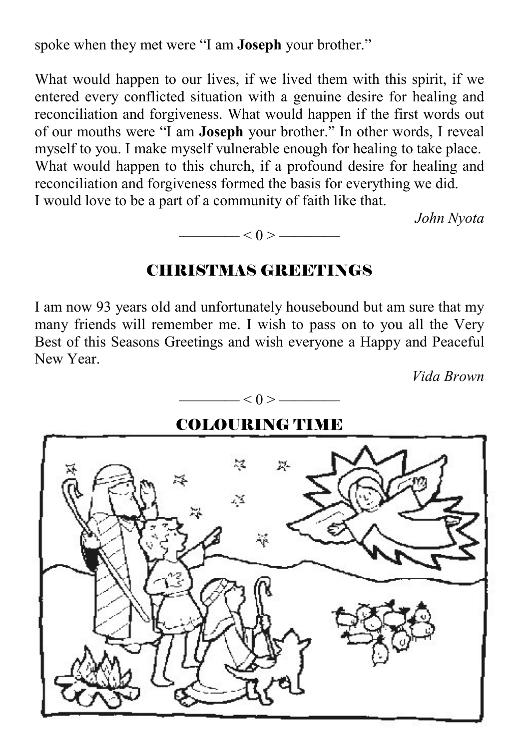spoke when they met were "I am **Joseph** your brother."

What would happen to our lives, if we lived them with this spirit, if we entered every conflicted situation with a genuine desire for healing and reconciliation and forgiveness. What would happen if the first words out of our mouths were "I am **Joseph** your brother." In other words, I reveal myself to you. I make myself vulnerable enough for healing to take place. What would happen to this church, if a profound desire for healing and reconciliation and forgiveness formed the basis for everything we did. I would love to be a part of a community of faith like that.

*John Nyota* 



#### CHRISTMAS GREETINGS

I am now 93 years old and unfortunately housebound but am sure that my many friends will remember me. I wish to pass on to you all the Very Best of this Seasons Greetings and wish everyone a Happy and Peaceful New Year.

*Vida Brown* 

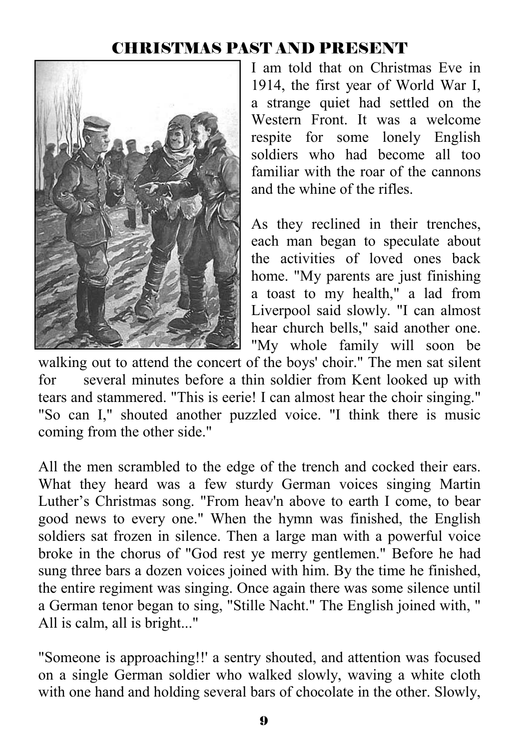## CHRISTMAS PAST AND PRESENT



I am told that on Christmas Eve in 1914, the first year of World War I, a strange quiet had settled on the Western Front. It was a welcome respite for some lonely English soldiers who had become all too familiar with the roar of the cannons and the whine of the rifles.

As they reclined in their trenches, each man began to speculate about the activities of loved ones back home. "My parents are just finishing a toast to my health," a lad from Liverpool said slowly. "I can almost hear church bells," said another one. "My whole family will soon be

walking out to attend the concert of the boys' choir." The men sat silent for several minutes before a thin soldier from Kent looked up with tears and stammered. "This is eerie! I can almost hear the choir singing." "So can I," shouted another puzzled voice. "I think there is music coming from the other side."

All the men scrambled to the edge of the trench and cocked their ears. What they heard was a few sturdy German voices singing Martin Luther's Christmas song. "From heav'n above to earth I come, to bear good news to every one." When the hymn was finished, the English soldiers sat frozen in silence. Then a large man with a powerful voice broke in the chorus of "God rest ye merry gentlemen." Before he had sung three bars a dozen voices joined with him. By the time he finished, the entire regiment was singing. Once again there was some silence until a German tenor began to sing, "Stille Nacht." The English joined with, " All is calm, all is bright..."

"Someone is approaching!!' a sentry shouted, and attention was focused on a single German soldier who walked slowly, waving a white cloth with one hand and holding several bars of chocolate in the other. Slowly,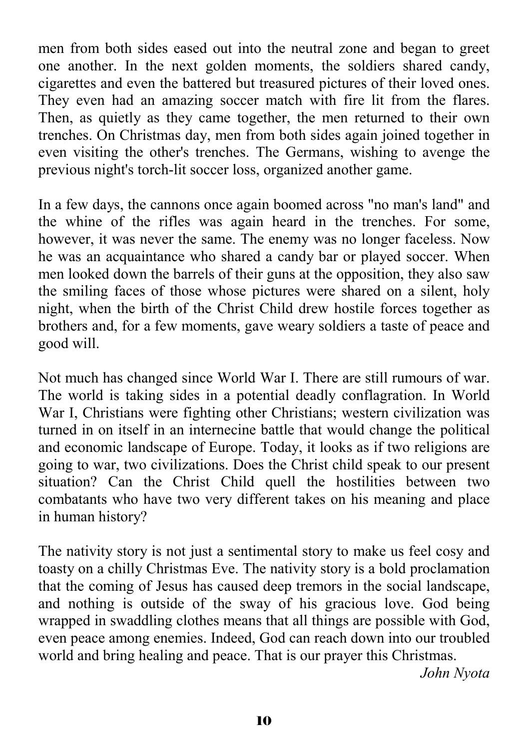men from both sides eased out into the neutral zone and began to greet one another. In the next golden moments, the soldiers shared candy, cigarettes and even the battered but treasured pictures of their loved ones. They even had an amazing soccer match with fire lit from the flares. Then, as quietly as they came together, the men returned to their own trenches. On Christmas day, men from both sides again joined together in even visiting the other's trenches. The Germans, wishing to avenge the previous night's torch-lit soccer loss, organized another game.

In a few days, the cannons once again boomed across "no man's land" and the whine of the rifles was again heard in the trenches. For some, however, it was never the same. The enemy was no longer faceless. Now he was an acquaintance who shared a candy bar or played soccer. When men looked down the barrels of their guns at the opposition, they also saw the smiling faces of those whose pictures were shared on a silent, holy night, when the birth of the Christ Child drew hostile forces together as brothers and, for a few moments, gave weary soldiers a taste of peace and good will.

Not much has changed since World War I. There are still rumours of war. The world is taking sides in a potential deadly conflagration. In World War I, Christians were fighting other Christians; western civilization was turned in on itself in an internecine battle that would change the political and economic landscape of Europe. Today, it looks as if two religions are going to war, two civilizations. Does the Christ child speak to our present situation? Can the Christ Child quell the hostilities between two combatants who have two very different takes on his meaning and place in human history?

The nativity story is not just a sentimental story to make us feel cosy and toasty on a chilly Christmas Eve. The nativity story is a bold proclamation that the coming of Jesus has caused deep tremors in the social landscape, and nothing is outside of the sway of his gracious love. God being wrapped in swaddling clothes means that all things are possible with God, even peace among enemies. Indeed, God can reach down into our troubled world and bring healing and peace. That is our prayer this Christmas.

*John Nyota*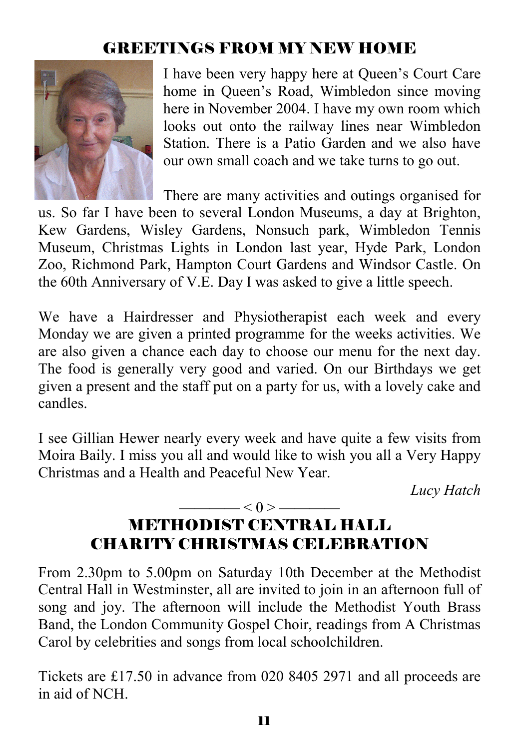## GREETINGS FROM MY NEW HOME



I have been very happy here at Queen's Court Care home in Queen's Road, Wimbledon since moving here in November 2004. I have my own room which looks out onto the railway lines near Wimbledon Station. There is a Patio Garden and we also have our own small coach and we take turns to go out.

There are many activities and outings organised for us. So far I have been to several London Museums, a day at Brighton, Kew Gardens, Wisley Gardens, Nonsuch park, Wimbledon Tennis Museum, Christmas Lights in London last year, Hyde Park, London Zoo, Richmond Park, Hampton Court Gardens and Windsor Castle. On the 60th Anniversary of V.E. Day I was asked to give a little speech.

We have a Hairdresser and Physiotherapist each week and every Monday we are given a printed programme for the weeks activities. We are also given a chance each day to choose our menu for the next day. The food is generally very good and varied. On our Birthdays we get given a present and the staff put on a party for us, with a lovely cake and candles.

I see Gillian Hewer nearly every week and have quite a few visits from Moira Baily. I miss you all and would like to wish you all a Very Happy Christmas and a Health and Peaceful New Year.

*Lucy Hatch* 

## $\leq 0$  >  $\leq$ METHODIST CENTRAL HALL CHARITY CHRISTMAS CELEBRATION

From 2.30pm to 5.00pm on Saturday 10th December at the Methodist Central Hall in Westminster, all are invited to join in an afternoon full of song and joy. The afternoon will include the Methodist Youth Brass Band, the London Community Gospel Choir, readings from A Christmas Carol by celebrities and songs from local schoolchildren.

Tickets are £17.50 in advance from 020 8405 2971 and all proceeds are in aid of NCH.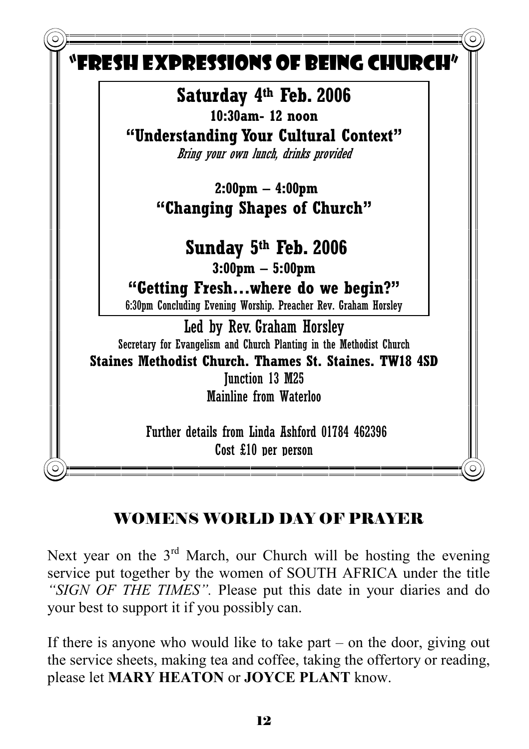

## WOMENS WORLD DAY OF PRAYER

Next year on the  $3<sup>rd</sup>$  March, our Church will be hosting the evening service put together by the women of SOUTH AFRICA under the title *"SIGN OF THE TIMES".* Please put this date in your diaries and do your best to support it if you possibly can.

If there is anyone who would like to take part – on the door, giving out the service sheets, making tea and coffee, taking the offertory or reading, please let **MARY HEATON** or **JOYCE PLANT** know.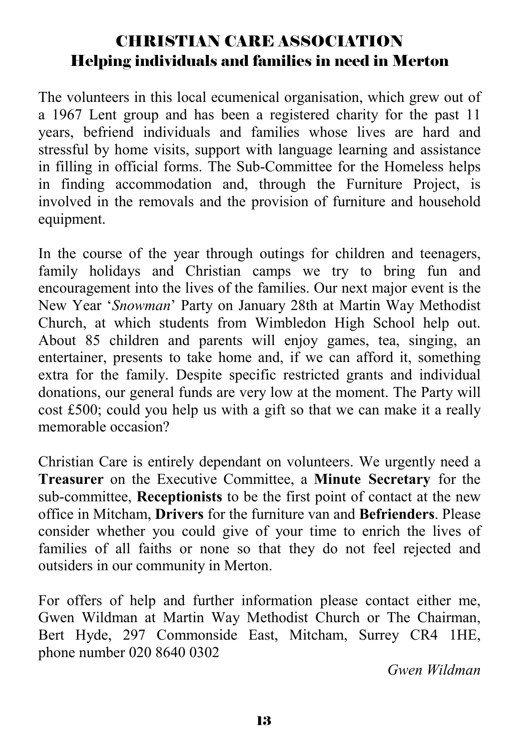## CHRISTIAN CARE ASSOCIATION Helping individuals and families in need in Merton

The volunteers in this local ecumenical organisation, which grew out of a 1967 Lent group and has been a registered charity for the past 11 years, befriend individuals and families whose lives are hard and stressful by home visits, support with language learning and assistance in filling in official forms. The Sub-Committee for the Homeless helps in finding accommodation and, through the Furniture Project, is involved in the removals and the provision of furniture and household equipment.

In the course of the year through outings for children and teenagers, family holidays and Christian camps we try to bring fun and encouragement into the lives of the families. Our next major event is the New Year '*Snowman*' Party on January 28th at Martin Way Methodist Church, at which students from Wimbledon High School help out. About 85 children and parents will enjoy games, tea, singing, an entertainer, presents to take home and, if we can afford it, something extra for the family. Despite specific restricted grants and individual donations, our general funds are very low at the moment. The Party will cost £500; could you help us with a gift so that we can make it a really memorable occasion?

Christian Care is entirely dependant on volunteers. We urgently need a **Treasurer** on the Executive Committee, a **Minute Secretary** for the sub-committee, **Receptionists** to be the first point of contact at the new office in Mitcham, **Drivers** for the furniture van and **Befrienders**. Please consider whether you could give of your time to enrich the lives of families of all faiths or none so that they do not feel rejected and outsiders in our community in Merton.

For offers of help and further information please contact either me, Gwen Wildman at Martin Way Methodist Church or The Chairman, Bert Hyde, 297 Commonside East, Mitcham, Surrey CR4 1HE, phone number 020 8640 0302

*Gwen Wildman*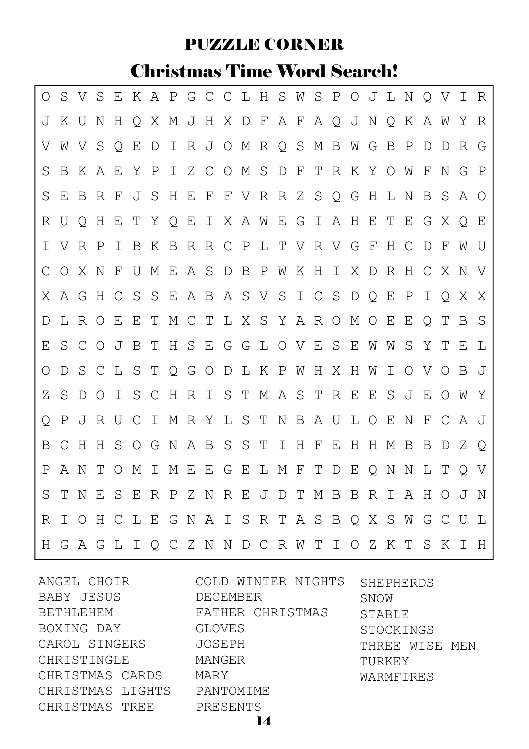## PUZZLE CORNER

## Christmas Time Word Search!

| Ο |            |         |               |               |              |              | S V S E K A P G C C L H S W S P O J L N Q V I R |    |              |         |       |                 |     |   |                       |       |         |                |         |         |     |         |     |             |
|---|------------|---------|---------------|---------------|--------------|--------------|-------------------------------------------------|----|--------------|---------|-------|-----------------|-----|---|-----------------------|-------|---------|----------------|---------|---------|-----|---------|-----|-------------|
| J | K U        |         | N             | Н             |              |              | Q X M J H X D F A F A Q J N Q K                 |    |              |         |       |                 |     |   |                       |       |         |                |         |         | A W |         | Y   | R           |
| V | W          | V       | S             | Q             | Е            | D I          |                                                 |    |              |         |       | R J O M R Q S   |     |   | M B                   |       | W G     |                | B       | P       | D   | D       | R   | G           |
| S | B          | K       | A             | Е             | Y            | $\mathbf{P}$ | $\mathbb{I}$                                    |    |              |         |       |                 |     |   | ZCOMSDFTRKYOW         |       |         |                |         |         | F   | N       | G   | $\mathbb P$ |
| S | E          | B       | R             | F             | J S          |              | H                                               | Е  | $\mathbf{F}$ |         |       |                 |     |   | F V R R Z S Q G       |       |         | H              | L N     |         | B   | S       | A O |             |
| R | U          | $\circ$ | H             | Е             |              | T Y Q        |                                                 | Е  |              | I X A W |       |                 | E G |   | $\perp$               | A H   |         | Е              | T E     |         | G   | X       | Q E |             |
| I | V          | R       | $\mathbb{P}$  | I.            | B            | K B          |                                                 |    |              |         |       |                 |     |   | R R C P L T V R V G F |       |         |                | H       | - C     | D   | F       | W U |             |
| С | $\bigcirc$ | X N     |               | F             | U            | М            | E                                               |    |              |         |       | A S D B P W K H |     |   |                       |       |         |                | IXDRH   |         | C X |         | N V |             |
| X | A G        |         | H             | $\mathcal{C}$ | S            | S            | E A B A S V S I C S D Q                         |    |              |         |       |                 |     |   |                       |       |         |                | Е       | Ρ       | Ι   | Q       | X X |             |
| D | L          | R O     |               | Е             | Ε            |              | T M C T L X S Y A R O M O E                     |    |              |         |       |                 |     |   |                       |       |         |                |         | Е       | Q   | Т       | B S |             |
| Ε | S          | C       | $\circ$       | J             | B            | T            | H S E G G L O V E S E                           |    |              |         |       |                 |     |   |                       |       |         | W              | W       | S       | Y T |         | Е   | L           |
| O | D          | S       | $\mathcal{C}$ | L S           |              | Т            | Q G O D L K P W H X H W                         |    |              |         |       |                 |     |   |                       |       |         |                | Ι       | $\circ$ | V O |         | B   | ு           |
| Ζ | S          | D       | $\circ$       | I.            | S.           |              | CHRISTMASTRE                                    |    |              |         |       |                 |     |   |                       |       |         | Е              |         | S J E   |     | $\circ$ | W   | Y           |
| Q | P          | J       | R U           |               | $\mathsf{C}$ | $\perp$      | M R Y                                           |    |              |         | L S T |                 |     |   | N B A U L O E         |       |         |                |         | N       | F   | C       | AJ  |             |
| Β | C          | Н       | Н             | S             | OG           |              | N A B S S T I                                   |    |              |         |       |                 |     | H | $\mathbf{F}$          | E     | H       | H              | М       | B       | B   | D       | ZQ  |             |
| Ρ | A          | N       | Т             | $\circ$       | М            | I            | М                                               | Е  |              |         |       | EGELMF          |     |   | Т                     | D     | Е       | $\overline{Q}$ | N       | N       | L T |         | O V |             |
| S | Т          | N       | E             | S             | E            |              | R P                                             | ΖN |              |         |       | REJDT           |     |   | M B                   |       | B       | R I            |         | AH      |     | $\circ$ | J   | N           |
| R | T.         | $\circ$ | H             | $\mathsf{C}$  | L E G        |              |                                                 | N  |              |         |       |                 |     |   | AISRTASB              |       | $\circ$ | X              | -S      | W       | G   | C       | U   | L           |
| H | G          | A G     |               |               |              |              | L I Q C Z N N D C R W T                         |    |              |         |       |                 |     |   |                       | I O Z |         |                | K T S K |         |     |         | T   | H           |

ANGEL CHOIR BABY JESUS BETHLEHEM BOXING DAY CAROL SINGERS JOSEPH CHRISTINGLE CHRISTMAS CARDS MARY CHRISTMAS LIGHTS CHRISTMAS TREE

COLD WINTER NIGHTS SHEPHERDS DECEMBER FATHER CHRISTMAS GLOVES MANGER PANTOMIME PRESENTS

SNOW STABLE STOCKINGS THREE WISE MEN TURKEY WARMFIRES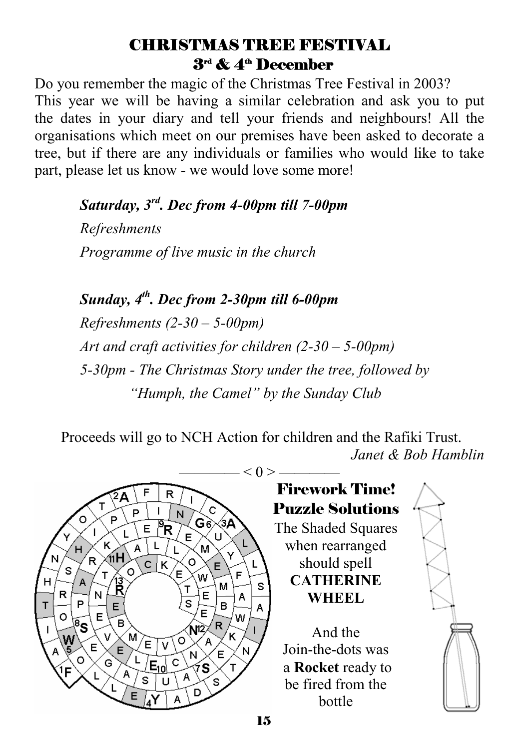## CHRISTMAS TREE FESTIVAL  $3<sup>rd</sup>$  &  $4<sup>th</sup>$  December

Do you remember the magic of the Christmas Tree Festival in 2003? This year we will be having a similar celebration and ask you to put the dates in your diary and tell your friends and neighbours! All the organisations which meet on our premises have been asked to decorate a tree, but if there are any individuals or families who would like to take part, please let us know - we would love some more!

 *Saturday, 3rd. Dec from 4-00pm till 7-00pm Refreshments Programme of live music in the church* 

*Sunday, 4th. Dec from 2-30pm till 6-00pm Refreshments (2-30 – 5-00pm) Art and craft activities for children (2-30 – 5-00pm) 5-30pm - The Christmas Story under the tree, followed by "Humph, the Camel" by the Sunday Club* 

 Proceeds will go to NCH Action for children and the Rafiki Trust. *Janet & Bob Hamblin* 



## Firework Time! Puzzle Solutions The Shaded Squares when rearranged should spell **CATHERINE WHEEL**  And the Join-the-dots was a **Rocket** ready to

be fired from the bottle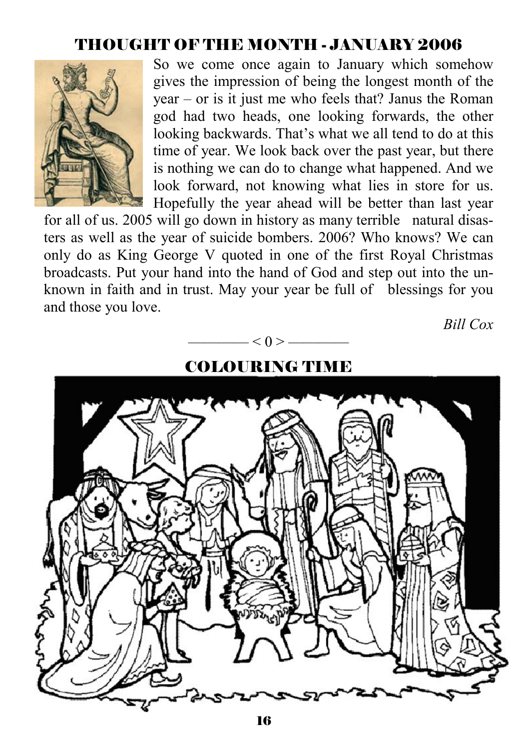## THOUGHT OF THE MONTH - JANUARY 2006



So we come once again to January which somehow gives the impression of being the longest month of the year – or is it just me who feels that? Janus the Roman god had two heads, one looking forwards, the other looking backwards. That's what we all tend to do at this time of year. We look back over the past year, but there is nothing we can do to change what happened. And we look forward, not knowing what lies in store for us. Hopefully the year ahead will be better than last year

for all of us. 2005 will go down in history as many terrible natural disasters as well as the year of suicide bombers. 2006? Who knows? We can only do as King George V quoted in one of the first Royal Christmas broadcasts. Put your hand into the hand of God and step out into the unknown in faith and in trust. May your year be full of blessings for you and those you love.

 $< 0 >$  ——

*Bill Cox* 

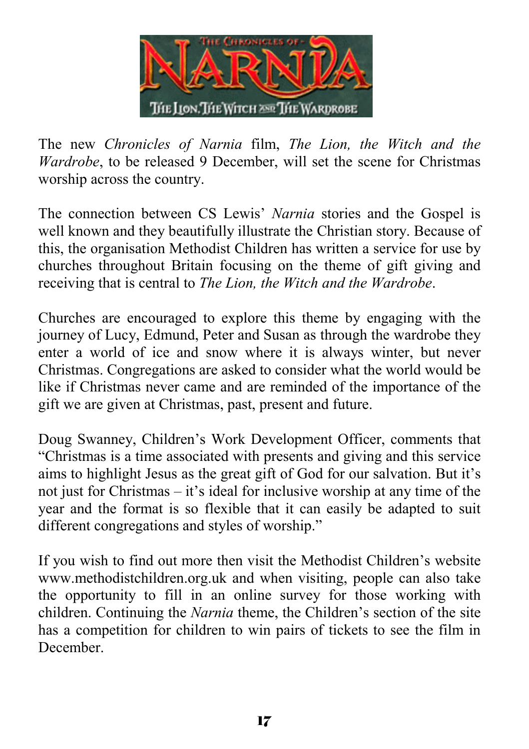

The new *Chronicles of Narnia* film, *The Lion, the Witch and the Wardrobe*, to be released 9 December, will set the scene for Christmas worship across the country.

The connection between CS Lewis' *Narnia* stories and the Gospel is well known and they beautifully illustrate the Christian story. Because of this, the organisation Methodist Children has written a service for use by churches throughout Britain focusing on the theme of gift giving and receiving that is central to *The Lion, the Witch and the Wardrobe*.

Churches are encouraged to explore this theme by engaging with the journey of Lucy, Edmund, Peter and Susan as through the wardrobe they enter a world of ice and snow where it is always winter, but never Christmas. Congregations are asked to consider what the world would be like if Christmas never came and are reminded of the importance of the gift we are given at Christmas, past, present and future.

Doug Swanney, Children's Work Development Officer, comments that "Christmas is a time associated with presents and giving and this service aims to highlight Jesus as the great gift of God for our salvation. But it's not just for Christmas – it's ideal for inclusive worship at any time of the year and the format is so flexible that it can easily be adapted to suit different congregations and styles of worship."

If you wish to find out more then visit the Methodist Children's website www.methodistchildren.org.uk and when visiting, people can also take the opportunity to fill in an online survey for those working with children. Continuing the *Narnia* theme, the Children's section of the site has a competition for children to win pairs of tickets to see the film in December.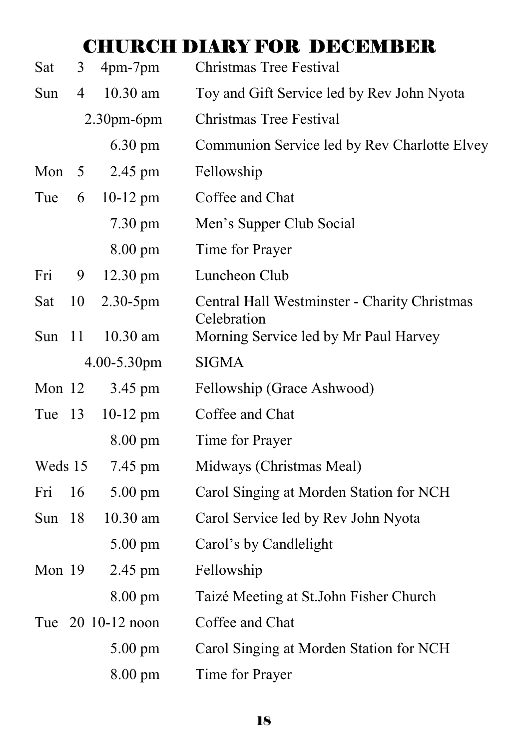## CHURCH DIARY FOR DECEMBER

| Sat      | 3              | 4pm-7pm           | Christmas Tree Festival                                     |
|----------|----------------|-------------------|-------------------------------------------------------------|
| Sun      | $\overline{4}$ | 10.30 am          | Toy and Gift Service led by Rev John Nyota                  |
|          |                | $2.30pm-6$ pm     | Christmas Tree Festival                                     |
|          |                | $6.30 \text{ pm}$ | Communion Service led by Rev Charlotte Elvey                |
| Mon      | 5              | 2.45 pm           | Fellowship                                                  |
| Tue      | 6              | $10-12$ pm        | Coffee and Chat                                             |
|          |                | $7.30 \text{ pm}$ | Men's Supper Club Social                                    |
|          |                | 8.00 pm           | Time for Prayer                                             |
| Fri      | 9              | 12.30 pm          | Luncheon Club                                               |
| Sat      | 10             | 2.30-5pm          | Central Hall Westminster - Charity Christmas<br>Celebration |
| Sun      | 11             | 10.30 am          | Morning Service led by Mr Paul Harvey                       |
|          |                | 4.00-5.30pm       | <b>SIGMA</b>                                                |
| Mon $12$ |                | 3.45 pm           | Fellowship (Grace Ashwood)                                  |
| Tue 13   |                | $10-12$ pm        | Coffee and Chat                                             |
|          |                | $8.00 \text{ pm}$ | Time for Prayer                                             |
| Weds 15  |                | 7.45 pm           | Midways (Christmas Meal)                                    |
| Fri      | 16             | $5.00 \text{ pm}$ | Carol Singing at Morden Station for NCH                     |
| Sun      | 18             | 10.30 am          | Carol Service led by Rev John Nyota                         |
|          |                | 5.00 pm           | Carol's by Candlelight                                      |
| Mon 19   |                | 2.45 pm           | Fellowship                                                  |
|          |                | $8.00 \text{ pm}$ | Taizé Meeting at St. John Fisher Church                     |
|          |                | Tue 20 10-12 noon | Coffee and Chat                                             |
|          |                | $5.00 \text{ pm}$ | Carol Singing at Morden Station for NCH                     |
|          |                | $8.00 \text{ pm}$ | Time for Prayer                                             |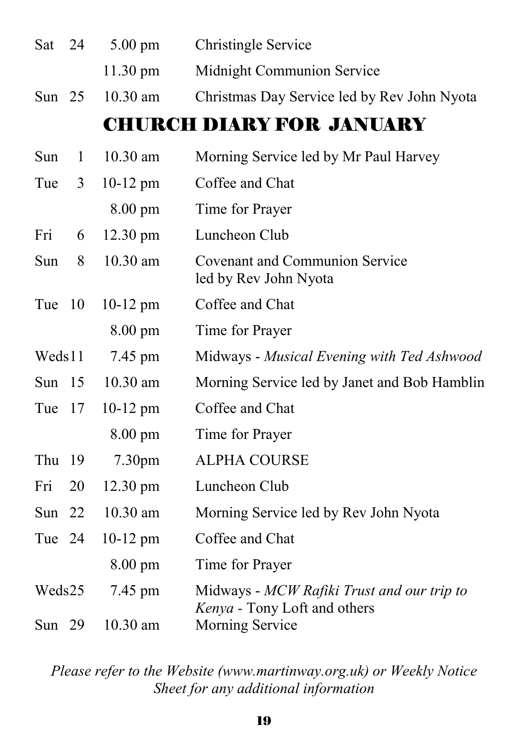| Sat      | 24  | $5.00 \text{ pm}$  | <b>Christingle Service</b>                                                 |
|----------|-----|--------------------|----------------------------------------------------------------------------|
|          |     | 11.30 pm           | Midnight Communion Service                                                 |
| Sun $25$ |     | 10.30 am           | Christmas Day Service led by Rev John Nyota                                |
|          |     |                    | <b>CHURCH DIARY FOR JANUARY</b>                                            |
| Sun      | 1   | $10.30$ am         | Morning Service led by Mr Paul Harvey                                      |
| Tue      | 3   | $10-12$ pm         | Coffee and Chat                                                            |
|          |     | $8.00 \text{ pm}$  | Time for Prayer                                                            |
| Fri      | 6   | 12.30 pm           | Luncheon Club                                                              |
| Sun      | 8   | 10.30 am           | <b>Covenant and Communion Service</b><br>led by Rev John Nyota             |
| Tue      | 10  | $10-12$ pm         | Coffee and Chat                                                            |
|          |     | $8.00 \text{ pm}$  | Time for Prayer                                                            |
| Weds11   |     | 7.45 pm            | Midways - Musical Evening with Ted Ashwood                                 |
| Sun      | -15 | 10.30 am           | Morning Service led by Janet and Bob Hamblin                               |
| Tue      | 17  | $10-12$ pm         | Coffee and Chat                                                            |
|          |     | $8.00 \text{ pm}$  | Time for Prayer                                                            |
| Thu      | 19  | 7.30 <sub>pm</sub> | <b>ALPHA COURSE</b>                                                        |
| Fri      | 20  | 12.30 pm           | Luncheon Club                                                              |
| Sun      | 22  | 10.30 am           | Morning Service led by Rev John Nyota                                      |
| Tue 24   |     | $10-12$ pm         | Coffee and Chat                                                            |
|          |     | $8.00 \text{ pm}$  | Time for Prayer                                                            |
| Weds25   |     | 7.45 pm            | Midways - MCW Rafiki Trust and our trip to<br>Kenya - Tony Loft and others |
| Sun $29$ |     | 10.30 am           | Morning Service                                                            |

#### *Please refer to the Website (www.martinway.org.uk) or Weekly Notice Sheet for any additional information*